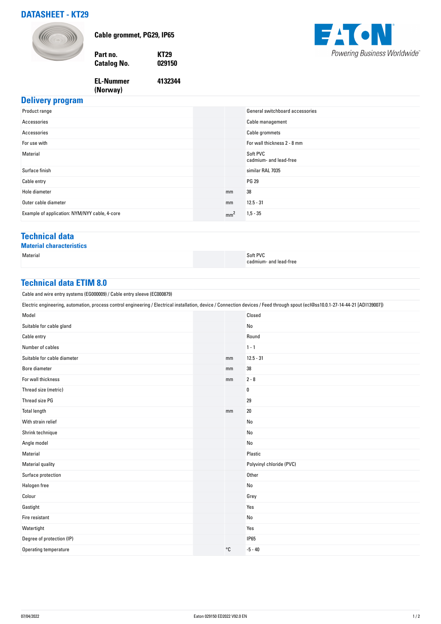# **DATASHEET - KT29**



**Cable grommet, PG29, IP65**

**Part no. KT29 Catalog No.** 

**4132344**



#### **EL-Nummer (Norway)**

## **Delivery program**

| Product range                                 |                 | General switchboard accessories    |
|-----------------------------------------------|-----------------|------------------------------------|
| Accessories                                   |                 | Cable management                   |
| Accessories                                   |                 | Cable grommets                     |
| For use with                                  |                 | For wall thickness 2 - 8 mm        |
| Material                                      |                 | Soft PVC<br>cadmium- and lead-free |
| Surface finish                                |                 | similar RAL 7035                   |
| Cable entry                                   |                 | <b>PG 29</b>                       |
| Hole diameter                                 | mm              | 38                                 |
| Outer cable diameter                          | mm              | $12.5 - 31$                        |
| Example of application: NYM/NYY cable, 4-core | mm <sup>2</sup> | $1,5 - 35$                         |

### **Technical data**

**Material characteristics**

Material Soft PVC in the second second second second second second second second second second second second second second second second second second second second second second second second second second second second s cadmium- and lead-free

#### **Technical data ETIM 8.0**

Cable and wire entry systems (EG000009) / Cable entry sleeve (EC000879)

| Electric engineering, automation, process control engineering / Electrical installation, device / Connection devices / Feed through spout (ecl@ss10.0.1-27-14-44-21 [ADI139007]) |  |    |                          |  |
|----------------------------------------------------------------------------------------------------------------------------------------------------------------------------------|--|----|--------------------------|--|
| Model                                                                                                                                                                            |  |    | Closed                   |  |
| Suitable for cable gland                                                                                                                                                         |  |    | No                       |  |
| Cable entry                                                                                                                                                                      |  |    | Round                    |  |
| Number of cables                                                                                                                                                                 |  |    | $1 - 1$                  |  |
| Suitable for cable diameter                                                                                                                                                      |  | mm | $12.5 - 31$              |  |
| Bore diameter                                                                                                                                                                    |  | mm | 38                       |  |
| For wall thickness                                                                                                                                                               |  | mm | $2 - 8$                  |  |
| Thread size (metric)                                                                                                                                                             |  |    | 0                        |  |
| Thread size PG                                                                                                                                                                   |  |    | 29                       |  |
| <b>Total length</b>                                                                                                                                                              |  | mm | $20\,$                   |  |
| With strain relief                                                                                                                                                               |  |    | No                       |  |
| Shrink technique                                                                                                                                                                 |  |    | No                       |  |
| Angle model                                                                                                                                                                      |  |    | No                       |  |
| Material                                                                                                                                                                         |  |    | Plastic                  |  |
| <b>Material quality</b>                                                                                                                                                          |  |    | Polyvinyl chloride (PVC) |  |
| Surface protection                                                                                                                                                               |  |    | Other                    |  |
| Halogen free                                                                                                                                                                     |  |    | No                       |  |
| Colour                                                                                                                                                                           |  |    | Grey                     |  |
| Gastight                                                                                                                                                                         |  |    | Yes                      |  |
| Fire resistant                                                                                                                                                                   |  |    | No                       |  |
| Watertight                                                                                                                                                                       |  |    | Yes                      |  |
| Degree of protection (IP)                                                                                                                                                        |  |    | <b>IP65</b>              |  |
| Operating temperature                                                                                                                                                            |  | °C | $-5 - 40$                |  |
|                                                                                                                                                                                  |  |    |                          |  |